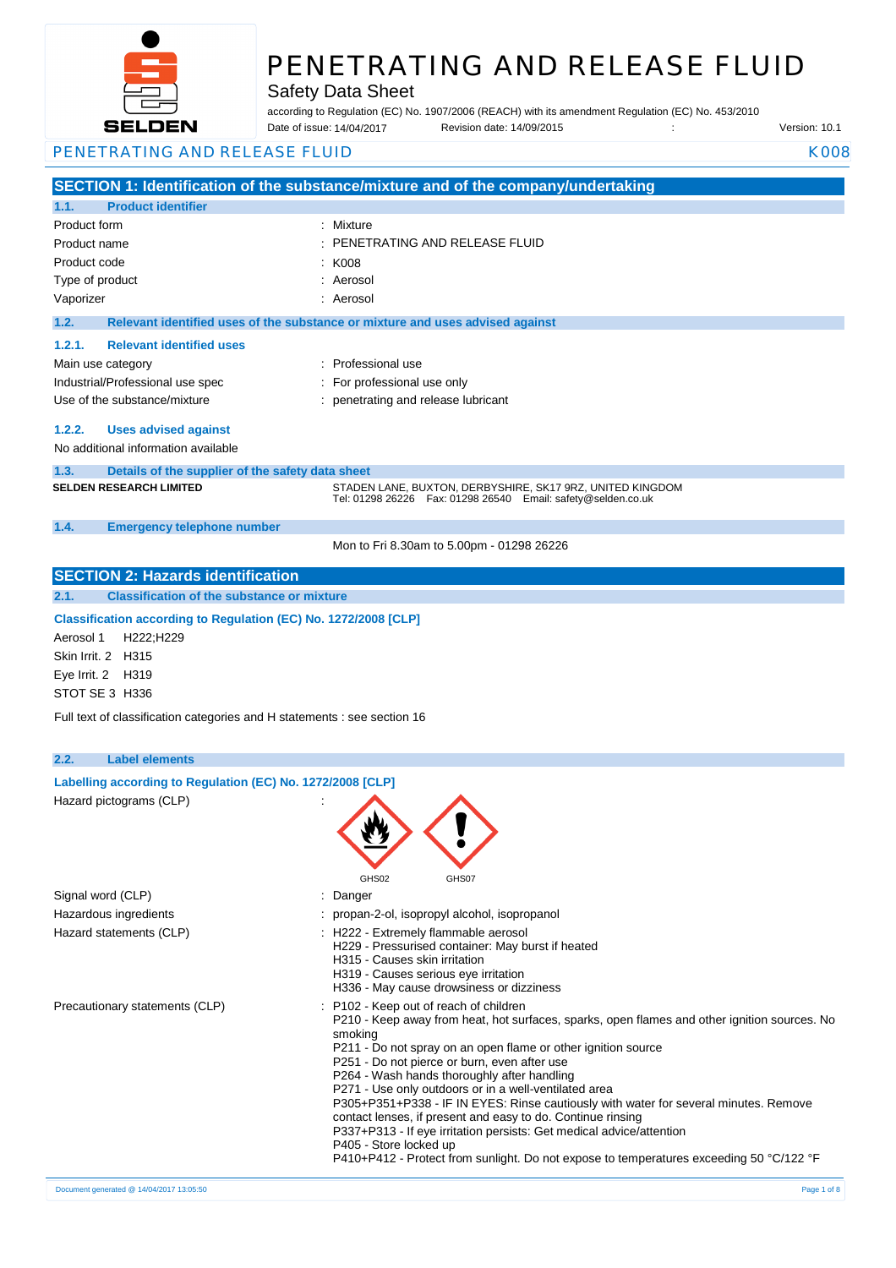

Safety Data Sheet

according to Regulation (EC) No. 1907/2006 (REACH) with its amendment Regulation (EC) No. 453/2010 Date of issue: Revision date: 14/09/2015 : Version: 10.1 Date of issue: 14/04/2017

| PENETRATING AND RELEASE FLUID<br><b>K008</b> |                                                                          |                                                                                                                                                     |  |
|----------------------------------------------|--------------------------------------------------------------------------|-----------------------------------------------------------------------------------------------------------------------------------------------------|--|
|                                              |                                                                          | SECTION 1: Identification of the substance/mixture and of the company/undertaking                                                                   |  |
| 1.1.                                         | <b>Product identifier</b>                                                |                                                                                                                                                     |  |
| Product form                                 |                                                                          | : Mixture                                                                                                                                           |  |
| Product name                                 |                                                                          | PENETRATING AND RELEASE FLUID                                                                                                                       |  |
| Product code                                 |                                                                          | K008                                                                                                                                                |  |
| Type of product                              |                                                                          | Aerosol                                                                                                                                             |  |
| Vaporizer                                    |                                                                          | Aerosol                                                                                                                                             |  |
| 1.2.                                         |                                                                          | Relevant identified uses of the substance or mixture and uses advised against                                                                       |  |
| 1.2.1.                                       | <b>Relevant identified uses</b>                                          |                                                                                                                                                     |  |
|                                              |                                                                          | : Professional use                                                                                                                                  |  |
|                                              | Main use category                                                        |                                                                                                                                                     |  |
|                                              | Industrial/Professional use spec                                         | : For professional use only                                                                                                                         |  |
|                                              | Use of the substance/mixture                                             | : penetrating and release lubricant                                                                                                                 |  |
| 1.2.2.                                       | <b>Uses advised against</b>                                              |                                                                                                                                                     |  |
|                                              | No additional information available                                      |                                                                                                                                                     |  |
| 1.3.                                         | Details of the supplier of the safety data sheet                         |                                                                                                                                                     |  |
|                                              | <b>SELDEN RESEARCH LIMITED</b>                                           | STADEN LANE, BUXTON, DERBYSHIRE, SK17 9RZ, UNITED KINGDOM                                                                                           |  |
|                                              |                                                                          | Tel: 01298 26226    Fax: 01298 26540    Email: safety@selden.co.uk                                                                                  |  |
| 1.4.                                         | <b>Emergency telephone number</b>                                        |                                                                                                                                                     |  |
|                                              |                                                                          | Mon to Fri 8.30am to 5.00pm - 01298 26226                                                                                                           |  |
|                                              |                                                                          |                                                                                                                                                     |  |
|                                              | <b>SECTION 2: Hazards identification</b>                                 |                                                                                                                                                     |  |
| 2.1.                                         | <b>Classification of the substance or mixture</b>                        |                                                                                                                                                     |  |
|                                              | Classification according to Regulation (EC) No. 1272/2008 [CLP]          |                                                                                                                                                     |  |
| Aerosol 1                                    | H222;H229                                                                |                                                                                                                                                     |  |
| Skin Irrit. 2                                | H315                                                                     |                                                                                                                                                     |  |
| Eye Irrit. 2                                 | H319                                                                     |                                                                                                                                                     |  |
|                                              | STOT SE 3 H336                                                           |                                                                                                                                                     |  |
|                                              | Full text of classification categories and H statements : see section 16 |                                                                                                                                                     |  |
|                                              |                                                                          |                                                                                                                                                     |  |
| 2.2.                                         | <b>Label elements</b>                                                    |                                                                                                                                                     |  |
|                                              | Labelling according to Regulation (EC) No. 1272/2008 [CLP]               |                                                                                                                                                     |  |
|                                              | Hazard pictograms (CLP)                                                  |                                                                                                                                                     |  |
|                                              |                                                                          | ۸A.                                                                                                                                                 |  |
|                                              |                                                                          |                                                                                                                                                     |  |
|                                              |                                                                          |                                                                                                                                                     |  |
|                                              |                                                                          |                                                                                                                                                     |  |
|                                              | Signal word (CLP)                                                        | GHS02<br>GHS07                                                                                                                                      |  |
|                                              |                                                                          | : Danger                                                                                                                                            |  |
|                                              | Hazardous ingredients                                                    | : propan-2-ol, isopropyl alcohol, isopropanol                                                                                                       |  |
|                                              | Hazard statements (CLP)                                                  | : H222 - Extremely flammable aerosol<br>H229 - Pressurised container: May burst if heated                                                           |  |
|                                              |                                                                          | H315 - Causes skin irritation                                                                                                                       |  |
|                                              |                                                                          | H319 - Causes serious eye irritation                                                                                                                |  |
|                                              |                                                                          | H336 - May cause drowsiness or dizziness                                                                                                            |  |
|                                              | Precautionary statements (CLP)                                           | : P102 - Keep out of reach of children<br>P210 - Keep away from heat, hot surfaces, sparks, open flames and other ignition sources. No              |  |
|                                              |                                                                          | smoking                                                                                                                                             |  |
|                                              |                                                                          | P211 - Do not spray on an open flame or other ignition source                                                                                       |  |
|                                              |                                                                          | P251 - Do not pierce or burn, even after use                                                                                                        |  |
|                                              |                                                                          | P264 - Wash hands thoroughly after handling                                                                                                         |  |
|                                              |                                                                          | P271 - Use only outdoors or in a well-ventilated area                                                                                               |  |
|                                              |                                                                          | P305+P351+P338 - IF IN EYES: Rinse cautiously with water for several minutes. Remove<br>contact lenses, if present and easy to do. Continue rinsing |  |
|                                              |                                                                          | P337+P313 - If eye irritation persists: Get medical advice/attention                                                                                |  |
|                                              |                                                                          | P405 - Store locked up                                                                                                                              |  |
|                                              |                                                                          | P410+P412 - Protect from sunlight. Do not expose to temperatures exceeding 50 °C/122 °F                                                             |  |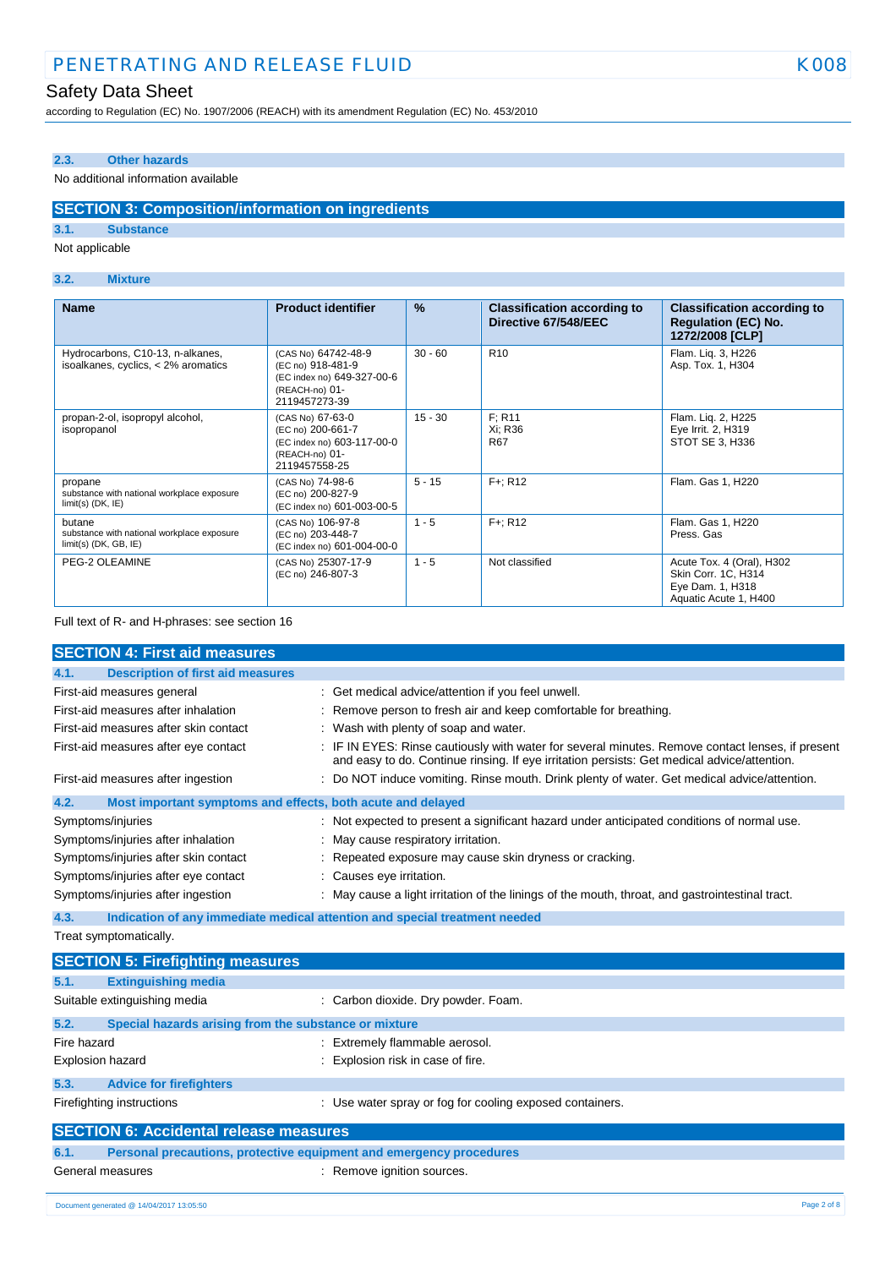# Safety Data Sheet

according to Regulation (EC) No. 1907/2006 (REACH) with its amendment Regulation (EC) No. 453/2010

### **2.3. Other hazards**

### No additional information available

### **SECTION 3: Composition/information on ingredients**

**3.1. Substance**

### Not applicable

### **3.2. Mixture**

| <b>Name</b>                                                                     | <b>Product identifier</b>                                                                                 | $\frac{9}{6}$ | <b>Classification according to</b><br>Directive 67/548/EEC | <b>Classification according to</b><br><b>Regulation (EC) No.</b><br>1272/2008 [CLP]           |
|---------------------------------------------------------------------------------|-----------------------------------------------------------------------------------------------------------|---------------|------------------------------------------------------------|-----------------------------------------------------------------------------------------------|
| Hydrocarbons, C10-13, n-alkanes,<br>isoalkanes, cyclics, < 2% aromatics         | (CAS No) 64742-48-9<br>(EC no) 918-481-9<br>(EC index no) 649-327-00-6<br>(REACH-no) 01-<br>2119457273-39 | $30 - 60$     | R <sub>10</sub>                                            | Flam. Liq. 3, H226<br>Asp. Tox. 1, H304                                                       |
| propan-2-ol, isopropyl alcohol,<br>isopropanol                                  | (CAS No) 67-63-0<br>(EC no) 200-661-7<br>(EC index no) 603-117-00-0<br>(REACH-no) 01-<br>2119457558-25    | $15 - 30$     | F: R11<br>Xi: R36<br><b>R67</b>                            | Flam. Liq. 2, H225<br>Eye Irrit. 2, H319<br>STOT SE 3, H336                                   |
| propane<br>substance with national workplace exposure<br>$limit(s)$ (DK, $IE$ ) | (CAS No) 74-98-6<br>(EC no) 200-827-9<br>(EC index no) 601-003-00-5                                       | $5 - 15$      | $F +: R12$                                                 | Flam. Gas 1, H220                                                                             |
| butane<br>substance with national workplace exposure<br>$limit(s)$ (DK, GB, IE) | (CAS No) 106-97-8<br>(EC no) 203-448-7<br>(EC index no) 601-004-00-0                                      | $1 - 5$       | $F +: R12$                                                 | Flam. Gas 1, H220<br>Press, Gas                                                               |
| PEG-2 OLEAMINE                                                                  | (CAS No) 25307-17-9<br>(EC no) 246-807-3                                                                  | $1 - 5$       | Not classified                                             | Acute Tox. 4 (Oral), H302<br>Skin Corr. 1C, H314<br>Eye Dam. 1, H318<br>Aquatic Acute 1, H400 |

Full text of R- and H-phrases: see section 16

|                                                                 | <b>SECTION 4: First aid measures</b>                        |  |                                                                                                                                                                                               |
|-----------------------------------------------------------------|-------------------------------------------------------------|--|-----------------------------------------------------------------------------------------------------------------------------------------------------------------------------------------------|
| 4.1.                                                            | <b>Description of first aid measures</b>                    |  |                                                                                                                                                                                               |
|                                                                 | First-aid measures general                                  |  | : Get medical advice/attention if you feel unwell.                                                                                                                                            |
|                                                                 | First-aid measures after inhalation                         |  | Remove person to fresh air and keep comfortable for breathing.                                                                                                                                |
|                                                                 | First-aid measures after skin contact                       |  | Wash with plenty of soap and water.                                                                                                                                                           |
|                                                                 | First-aid measures after eye contact                        |  | IF IN EYES: Rinse cautiously with water for several minutes. Remove contact lenses, if present<br>and easy to do. Continue rinsing. If eye irritation persists: Get medical advice/attention. |
|                                                                 | First-aid measures after ingestion                          |  | : Do NOT induce vomiting. Rinse mouth. Drink plenty of water. Get medical advice/attention.                                                                                                   |
| 4.2.                                                            | Most important symptoms and effects, both acute and delayed |  |                                                                                                                                                                                               |
|                                                                 | Symptoms/injuries                                           |  | : Not expected to present a significant hazard under anticipated conditions of normal use.                                                                                                    |
|                                                                 | Symptoms/injuries after inhalation                          |  | May cause respiratory irritation.                                                                                                                                                             |
|                                                                 | Symptoms/injuries after skin contact                        |  | Repeated exposure may cause skin dryness or cracking.                                                                                                                                         |
| Symptoms/injuries after eye contact<br>: Causes eye irritation. |                                                             |  |                                                                                                                                                                                               |
|                                                                 | Symptoms/injuries after ingestion                           |  | : May cause a light irritation of the linings of the mouth, throat, and gastrointestinal tract.                                                                                               |
| 4.3.                                                            |                                                             |  | Indication of any immediate medical attention and special treatment needed                                                                                                                    |
| Treat symptomatically.                                          |                                                             |  |                                                                                                                                                                                               |
|                                                                 | <b>SECTION 5: Firefighting measures</b>                     |  |                                                                                                                                                                                               |
| 5.1.                                                            | <b>Extinguishing media</b>                                  |  |                                                                                                                                                                                               |
|                                                                 | Suitable extinguishing media                                |  | : Carbon dioxide. Dry powder. Foam.                                                                                                                                                           |
| 5.2.                                                            | Special hazards arising from the substance or mixture       |  |                                                                                                                                                                                               |
| Fire hazard                                                     |                                                             |  | Extremely flammable aerosol.                                                                                                                                                                  |
| Explosion hazard                                                |                                                             |  | Explosion risk in case of fire.                                                                                                                                                               |
| 5.3.                                                            | <b>Advice for firefighters</b>                              |  |                                                                                                                                                                                               |

# Firefighting instructions **interest in the containers** : Use water spray or fog for cooling exposed containers.

| <b>SECTION 6: Accidental release measures</b> |                                                                     |                            |
|-----------------------------------------------|---------------------------------------------------------------------|----------------------------|
| 6.1.                                          | Personal precautions, protective equipment and emergency procedures |                            |
|                                               | General measures                                                    | : Remove ignition sources. |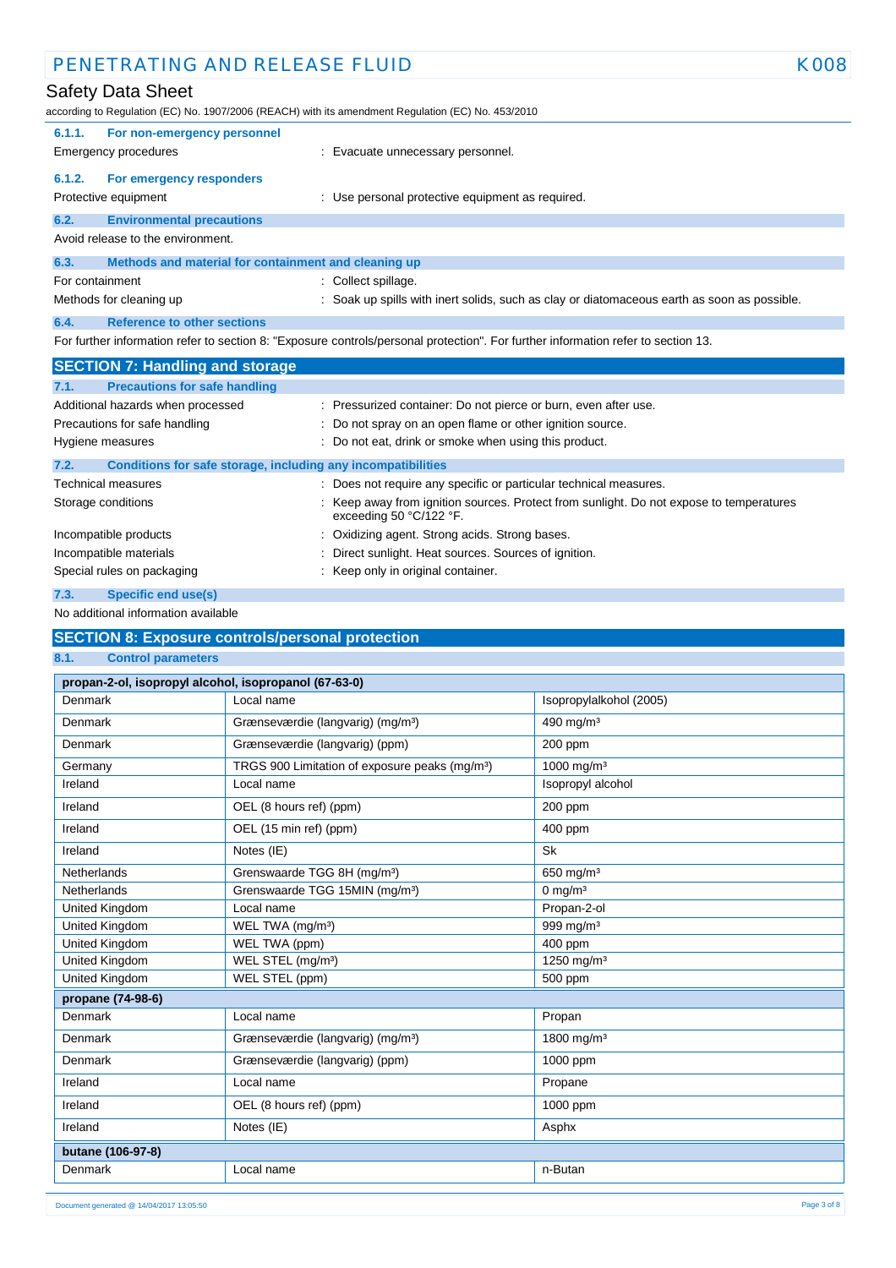| PENETRATING AND RELEASE FLUID<br><b>K008</b>                                                                                      |                                                                                                                  |  |
|-----------------------------------------------------------------------------------------------------------------------------------|------------------------------------------------------------------------------------------------------------------|--|
| Safety Data Sheet<br>according to Regulation (EC) No. 1907/2006 (REACH) with its amendment Regulation (EC) No. 453/2010           |                                                                                                                  |  |
| 6.1.1.<br>For non-emergency personnel<br><b>Emergency procedures</b>                                                              | : Evacuate unnecessary personnel.                                                                                |  |
| 6.1.2.<br>For emergency responders<br>Protective equipment                                                                        | : Use personal protective equipment as required.                                                                 |  |
| 6.2.<br><b>Environmental precautions</b><br>Avoid release to the environment.                                                     |                                                                                                                  |  |
| 6.3.<br>Methods and material for containment and cleaning up                                                                      |                                                                                                                  |  |
| For containment                                                                                                                   | : Collect spillage.                                                                                              |  |
| Methods for cleaning up                                                                                                           | : Soak up spills with inert solids, such as clay or diatomaceous earth as soon as possible.                      |  |
| <b>Reference to other sections</b><br>6.4.                                                                                        |                                                                                                                  |  |
| For further information refer to section 8: "Exposure controls/personal protection". For further information refer to section 13. |                                                                                                                  |  |
| <b>SECTION 7: Handling and storage</b>                                                                                            |                                                                                                                  |  |
| <b>Precautions for safe handling</b><br>7.1.                                                                                      |                                                                                                                  |  |
| Additional hazards when processed                                                                                                 | : Pressurized container: Do not pierce or burn, even after use.                                                  |  |
| Precautions for safe handling                                                                                                     | Do not spray on an open flame or other ignition source.                                                          |  |
| Hygiene measures                                                                                                                  | : Do not eat, drink or smoke when using this product.                                                            |  |
| 7.2.<br>Conditions for safe storage, including any incompatibilities                                                              |                                                                                                                  |  |
| <b>Technical measures</b>                                                                                                         | : Does not require any specific or particular technical measures.                                                |  |
| Storage conditions                                                                                                                | Keep away from ignition sources. Protect from sunlight. Do not expose to temperatures<br>exceeding 50 °C/122 °F. |  |
| Incompatible products                                                                                                             | Oxidizing agent. Strong acids. Strong bases.                                                                     |  |
| Incompatible materials                                                                                                            | Direct sunlight. Heat sources. Sources of ignition.                                                              |  |
| Special rules on packaging                                                                                                        | Keep only in original container.                                                                                 |  |
| 7.3.<br><b>Specific end use(s)</b>                                                                                                |                                                                                                                  |  |

No additional information available

# **SECTION 8: Exposure controls/personal protection**

### **8.1. Control parameters**

| Denmark<br>Local name<br>Isopropylalkohol (2005)<br>Grænseværdie (langvarig) (mg/m <sup>3</sup> )<br>490 mg/m <sup>3</sup><br>Denmark<br>Denmark<br>Grænseværdie (langvarig) (ppm)<br>200 ppm<br>1000 mg/m <sup>3</sup><br>Germany<br>TRGS 900 Limitation of exposure peaks (mg/m <sup>3</sup> )<br>Isopropyl alcohol<br>Ireland<br>Local name<br>Ireland<br>OEL (8 hours ref) (ppm)<br>200 ppm<br>OEL (15 min ref) (ppm)<br>Ireland<br>400 ppm<br><b>Sk</b><br>Ireland<br>Notes (IE)<br>Grenswaarde TGG 8H (mg/m <sup>3</sup> )<br><b>Netherlands</b><br>650 mg/m <sup>3</sup><br>Grenswaarde TGG 15MIN (mg/m <sup>3</sup> )<br>0 mg/ $m3$<br><b>Netherlands</b><br>Propan-2-ol<br>United Kingdom<br>Local name<br>United Kingdom<br>999 mg/m $3$<br>WEL TWA (mg/m <sup>3</sup> )<br>United Kingdom<br>WEL TWA (ppm)<br>400 ppm<br>United Kingdom<br>WEL STEL (mg/m <sup>3</sup> )<br>1250 mg/m <sup>3</sup><br>United Kingdom<br>WEL STEL (ppm)<br>500 ppm<br>propane (74-98-6)<br>Denmark<br>Local name<br>Propan<br>1800 mg/m <sup>3</sup><br>Denmark<br>Grænseværdie (langvarig) (mg/m <sup>3</sup> )<br>1000 ppm<br>Denmark<br>Grænseværdie (langvarig) (ppm)<br>Ireland<br>Local name<br>Propane<br>Ireland<br>OEL (8 hours ref) (ppm)<br>1000 ppm<br>Ireland<br>Notes (IE)<br>Asphx<br>butane (106-97-8)<br>Denmark<br>Local name<br>n-Butan | propan-2-ol, isopropyl alcohol, isopropanol (67-63-0) |  |  |  |  |  |
|------------------------------------------------------------------------------------------------------------------------------------------------------------------------------------------------------------------------------------------------------------------------------------------------------------------------------------------------------------------------------------------------------------------------------------------------------------------------------------------------------------------------------------------------------------------------------------------------------------------------------------------------------------------------------------------------------------------------------------------------------------------------------------------------------------------------------------------------------------------------------------------------------------------------------------------------------------------------------------------------------------------------------------------------------------------------------------------------------------------------------------------------------------------------------------------------------------------------------------------------------------------------------------------------------------------------------------------------------|-------------------------------------------------------|--|--|--|--|--|
|                                                                                                                                                                                                                                                                                                                                                                                                                                                                                                                                                                                                                                                                                                                                                                                                                                                                                                                                                                                                                                                                                                                                                                                                                                                                                                                                                      |                                                       |  |  |  |  |  |
|                                                                                                                                                                                                                                                                                                                                                                                                                                                                                                                                                                                                                                                                                                                                                                                                                                                                                                                                                                                                                                                                                                                                                                                                                                                                                                                                                      |                                                       |  |  |  |  |  |
|                                                                                                                                                                                                                                                                                                                                                                                                                                                                                                                                                                                                                                                                                                                                                                                                                                                                                                                                                                                                                                                                                                                                                                                                                                                                                                                                                      |                                                       |  |  |  |  |  |
|                                                                                                                                                                                                                                                                                                                                                                                                                                                                                                                                                                                                                                                                                                                                                                                                                                                                                                                                                                                                                                                                                                                                                                                                                                                                                                                                                      |                                                       |  |  |  |  |  |
|                                                                                                                                                                                                                                                                                                                                                                                                                                                                                                                                                                                                                                                                                                                                                                                                                                                                                                                                                                                                                                                                                                                                                                                                                                                                                                                                                      |                                                       |  |  |  |  |  |
|                                                                                                                                                                                                                                                                                                                                                                                                                                                                                                                                                                                                                                                                                                                                                                                                                                                                                                                                                                                                                                                                                                                                                                                                                                                                                                                                                      |                                                       |  |  |  |  |  |
|                                                                                                                                                                                                                                                                                                                                                                                                                                                                                                                                                                                                                                                                                                                                                                                                                                                                                                                                                                                                                                                                                                                                                                                                                                                                                                                                                      |                                                       |  |  |  |  |  |
|                                                                                                                                                                                                                                                                                                                                                                                                                                                                                                                                                                                                                                                                                                                                                                                                                                                                                                                                                                                                                                                                                                                                                                                                                                                                                                                                                      |                                                       |  |  |  |  |  |
|                                                                                                                                                                                                                                                                                                                                                                                                                                                                                                                                                                                                                                                                                                                                                                                                                                                                                                                                                                                                                                                                                                                                                                                                                                                                                                                                                      |                                                       |  |  |  |  |  |
|                                                                                                                                                                                                                                                                                                                                                                                                                                                                                                                                                                                                                                                                                                                                                                                                                                                                                                                                                                                                                                                                                                                                                                                                                                                                                                                                                      |                                                       |  |  |  |  |  |
|                                                                                                                                                                                                                                                                                                                                                                                                                                                                                                                                                                                                                                                                                                                                                                                                                                                                                                                                                                                                                                                                                                                                                                                                                                                                                                                                                      |                                                       |  |  |  |  |  |
|                                                                                                                                                                                                                                                                                                                                                                                                                                                                                                                                                                                                                                                                                                                                                                                                                                                                                                                                                                                                                                                                                                                                                                                                                                                                                                                                                      |                                                       |  |  |  |  |  |
|                                                                                                                                                                                                                                                                                                                                                                                                                                                                                                                                                                                                                                                                                                                                                                                                                                                                                                                                                                                                                                                                                                                                                                                                                                                                                                                                                      |                                                       |  |  |  |  |  |
|                                                                                                                                                                                                                                                                                                                                                                                                                                                                                                                                                                                                                                                                                                                                                                                                                                                                                                                                                                                                                                                                                                                                                                                                                                                                                                                                                      |                                                       |  |  |  |  |  |
|                                                                                                                                                                                                                                                                                                                                                                                                                                                                                                                                                                                                                                                                                                                                                                                                                                                                                                                                                                                                                                                                                                                                                                                                                                                                                                                                                      |                                                       |  |  |  |  |  |
|                                                                                                                                                                                                                                                                                                                                                                                                                                                                                                                                                                                                                                                                                                                                                                                                                                                                                                                                                                                                                                                                                                                                                                                                                                                                                                                                                      |                                                       |  |  |  |  |  |
|                                                                                                                                                                                                                                                                                                                                                                                                                                                                                                                                                                                                                                                                                                                                                                                                                                                                                                                                                                                                                                                                                                                                                                                                                                                                                                                                                      |                                                       |  |  |  |  |  |
|                                                                                                                                                                                                                                                                                                                                                                                                                                                                                                                                                                                                                                                                                                                                                                                                                                                                                                                                                                                                                                                                                                                                                                                                                                                                                                                                                      |                                                       |  |  |  |  |  |
|                                                                                                                                                                                                                                                                                                                                                                                                                                                                                                                                                                                                                                                                                                                                                                                                                                                                                                                                                                                                                                                                                                                                                                                                                                                                                                                                                      |                                                       |  |  |  |  |  |
|                                                                                                                                                                                                                                                                                                                                                                                                                                                                                                                                                                                                                                                                                                                                                                                                                                                                                                                                                                                                                                                                                                                                                                                                                                                                                                                                                      |                                                       |  |  |  |  |  |
|                                                                                                                                                                                                                                                                                                                                                                                                                                                                                                                                                                                                                                                                                                                                                                                                                                                                                                                                                                                                                                                                                                                                                                                                                                                                                                                                                      |                                                       |  |  |  |  |  |
|                                                                                                                                                                                                                                                                                                                                                                                                                                                                                                                                                                                                                                                                                                                                                                                                                                                                                                                                                                                                                                                                                                                                                                                                                                                                                                                                                      |                                                       |  |  |  |  |  |
|                                                                                                                                                                                                                                                                                                                                                                                                                                                                                                                                                                                                                                                                                                                                                                                                                                                                                                                                                                                                                                                                                                                                                                                                                                                                                                                                                      |                                                       |  |  |  |  |  |
|                                                                                                                                                                                                                                                                                                                                                                                                                                                                                                                                                                                                                                                                                                                                                                                                                                                                                                                                                                                                                                                                                                                                                                                                                                                                                                                                                      |                                                       |  |  |  |  |  |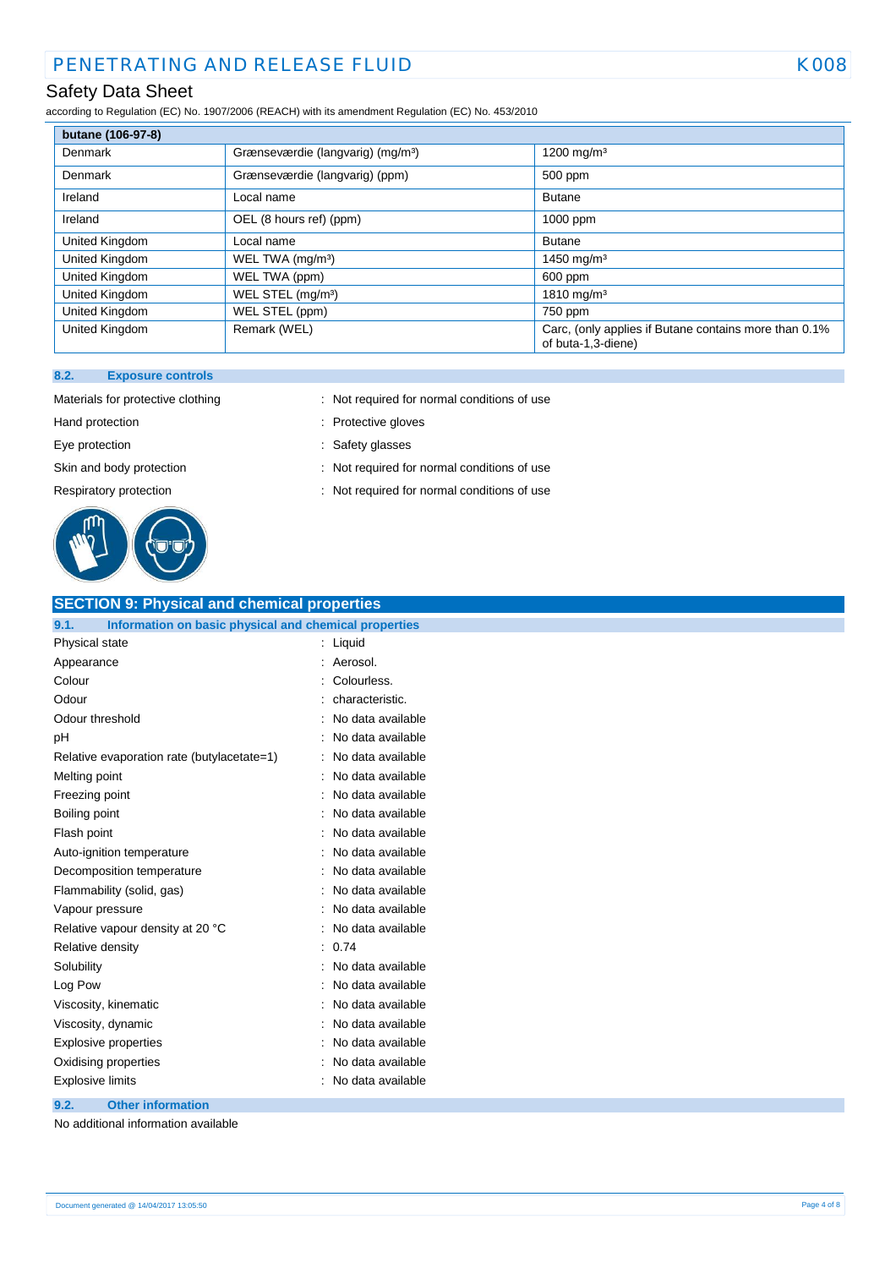# Safety Data Sheet

according to Regulation (EC) No. 1907/2006 (REACH) with its amendment Regulation (EC) No. 453/2010

| butane (106-97-8) |                                               |                                                                             |
|-------------------|-----------------------------------------------|-----------------------------------------------------------------------------|
| Denmark           | Grænseværdie (langvarig) (mg/m <sup>3</sup> ) | 1200 mg/m <sup>3</sup>                                                      |
| Denmark           | Grænseværdie (langvarig) (ppm)                | 500 ppm                                                                     |
| Ireland           | Local name                                    | <b>Butane</b>                                                               |
| Ireland           | OEL (8 hours ref) (ppm)                       | 1000 ppm                                                                    |
| United Kingdom    | Local name                                    | <b>Butane</b>                                                               |
| United Kingdom    | WEL TWA (mg/m <sup>3</sup> )                  | 1450 mg/m <sup>3</sup>                                                      |
| United Kingdom    | WEL TWA (ppm)                                 | 600 ppm                                                                     |
| United Kingdom    | WEL STEL (mg/m <sup>3</sup> )                 | $1810 \text{ mg/m}^3$                                                       |
| United Kingdom    | WEL STEL (ppm)                                | 750 ppm                                                                     |
| United Kingdom    | Remark (WEL)                                  | Carc, (only applies if Butane contains more than 0.1%<br>of buta-1,3-diene) |

#### **8.2. Exposure controls**



- Materials for protective clothing : Not required for normal conditions of use
- Hand protection **in the contract of the Contract Servers** entering the Protective gloves
- Eye protection **in the same of the set of the set of the set of the set of the set of the set of the set of the set of the set of the set of the set of the set of the set of the set of the set of the set of the set of the**
- Skin and body protection : Not required for normal conditions of use
- Respiratory protection : Not required for normal conditions of use

| <b>SECTION 9: Physical and chemical properties</b>            |                   |
|---------------------------------------------------------------|-------------------|
| Information on basic physical and chemical properties<br>9.1. |                   |
| Physical state                                                | Liquid<br>÷       |
| Appearance                                                    | Aerosol.          |
| Colour                                                        | Colourless.       |
| Odour                                                         | characteristic.   |
| Odour threshold                                               | No data available |
| рH                                                            | No data available |
| Relative evaporation rate (butylacetate=1)                    | No data available |
| Melting point                                                 | No data available |
| Freezing point                                                | No data available |
| Boiling point                                                 | No data available |
| Flash point                                                   | No data available |
| Auto-ignition temperature                                     | No data available |
| Decomposition temperature                                     | No data available |
| Flammability (solid, gas)                                     | No data available |
| Vapour pressure                                               | No data available |
| Relative vapour density at 20 °C                              | No data available |
| Relative density                                              | 0.74              |
| Solubility                                                    | No data available |
| Log Pow                                                       | No data available |
| Viscosity, kinematic                                          | No data available |
| Viscosity, dynamic                                            | No data available |
| Explosive properties                                          | No data available |
| Oxidising properties                                          | No data available |
| <b>Explosive limits</b>                                       | No data available |
| <b>Other information</b><br>9.2.                              |                   |

No additional information available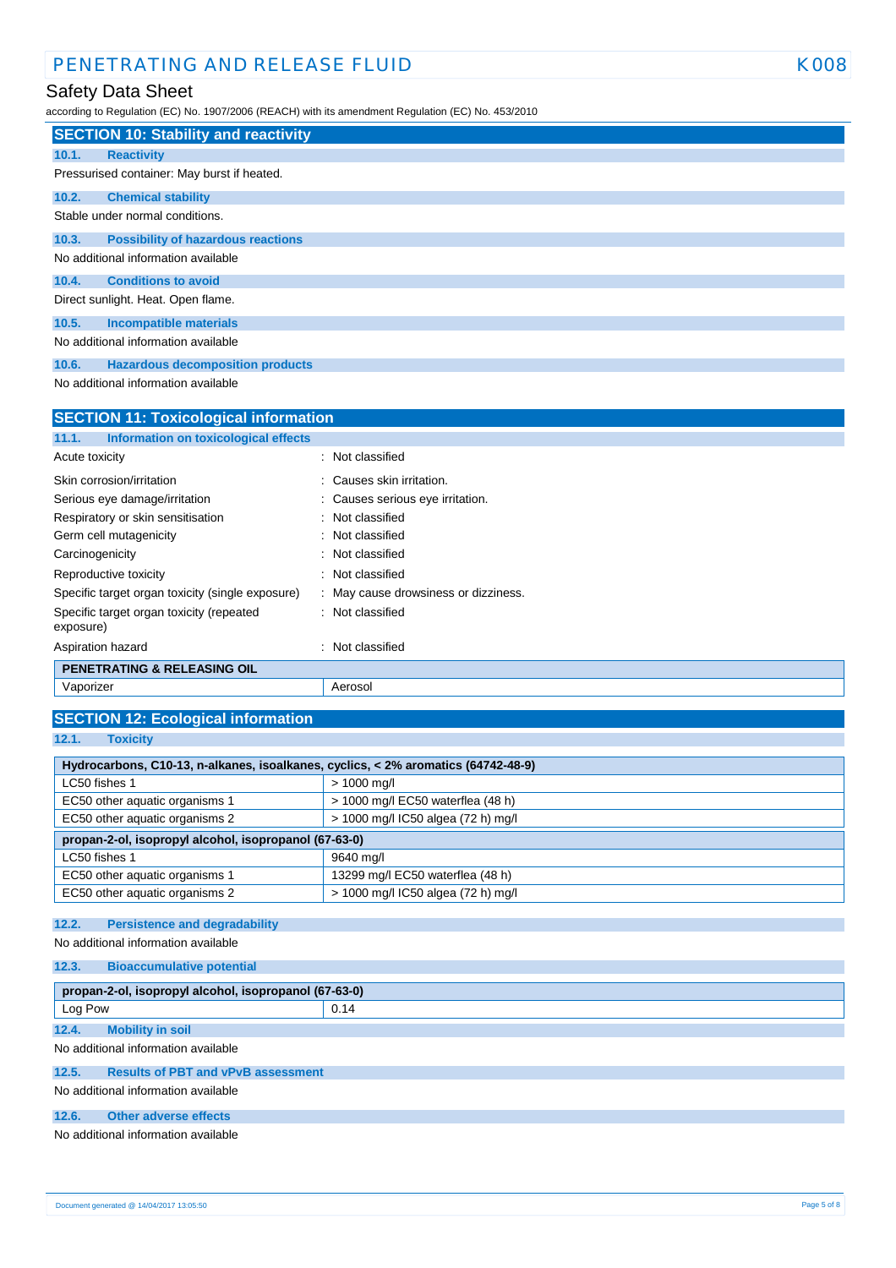# Safety Data Sheet

according to Regulation (EC) No. 1907/2006 (REACH) with its amendment Regulation (EC) No. 453/2010

|       | <b>SECTION 10: Stability and reactivity</b> |
|-------|---------------------------------------------|
| 10.1. | <b>Reactivity</b>                           |
|       | Pressurised container: May burst if heated. |
| 10.2. | <b>Chemical stability</b>                   |
|       | Stable under normal conditions.             |
| 10.3. | <b>Possibility of hazardous reactions</b>   |
|       | No additional information available         |
| 10.4. | <b>Conditions to avoid</b>                  |
|       | Direct sunlight. Heat. Open flame.          |
| 10.5. | <b>Incompatible materials</b>               |
|       | No additional information available         |
| 10.6. | <b>Hazardous decomposition products</b>     |

No additional information available

| <b>SECTION 11: Toxicological information</b> |  |  |  |
|----------------------------------------------|--|--|--|
|                                              |  |  |  |
| : Not classified                             |  |  |  |
| : Causes skin irritation.                    |  |  |  |
| : Causes serious eye irritation.             |  |  |  |
| : Not classified                             |  |  |  |
| : Not classified                             |  |  |  |
| Not classified                               |  |  |  |
| : Not classified                             |  |  |  |
| : May cause drowsiness or dizziness.         |  |  |  |
| : Not classified                             |  |  |  |
| Not classified                               |  |  |  |
|                                              |  |  |  |
| Aerosol                                      |  |  |  |
|                                              |  |  |  |

| <b>SECTION 12: Ecological information</b>                                         |                                    |  |  |  |
|-----------------------------------------------------------------------------------|------------------------------------|--|--|--|
| 12.1.<br><b>Toxicity</b>                                                          |                                    |  |  |  |
|                                                                                   |                                    |  |  |  |
| Hydrocarbons, C10-13, n-alkanes, isoalkanes, cyclics, < 2% aromatics (64742-48-9) |                                    |  |  |  |
| LC50 fishes 1                                                                     | $> 1000$ mg/l                      |  |  |  |
| EC50 other aquatic organisms 1                                                    | > 1000 mg/l EC50 waterflea (48 h)  |  |  |  |
| EC50 other aquatic organisms 2                                                    | > 1000 mg/l IC50 algea (72 h) mg/l |  |  |  |
| propan-2-ol, isopropyl alcohol, isopropanol (67-63-0)                             |                                    |  |  |  |
| LC50 fishes 1                                                                     | 9640 mg/l                          |  |  |  |
| EC50 other aquatic organisms 1                                                    | 13299 mg/l EC50 waterflea (48 h)   |  |  |  |
| EC50 other aquatic organisms 2                                                    | > 1000 mg/l IC50 algea (72 h) mg/l |  |  |  |
|                                                                                   |                                    |  |  |  |

### **12.2. Persistence and degradability**

No additional information available

| 12.3.                                                 | <b>Bioaccumulative potential</b> |      |
|-------------------------------------------------------|----------------------------------|------|
| propan-2-ol, isopropyl alcohol, isopropanol (67-63-0) |                                  |      |
| Log Pow                                               |                                  | 0.14 |
| 12.4.                                                 | <b>Mobility in soil</b>          |      |
| No additional information available                   |                                  |      |

### **12.5. Results of PBT and vPvB assessment**

No additional information available

#### **12.6. Other adverse effects**

No additional information available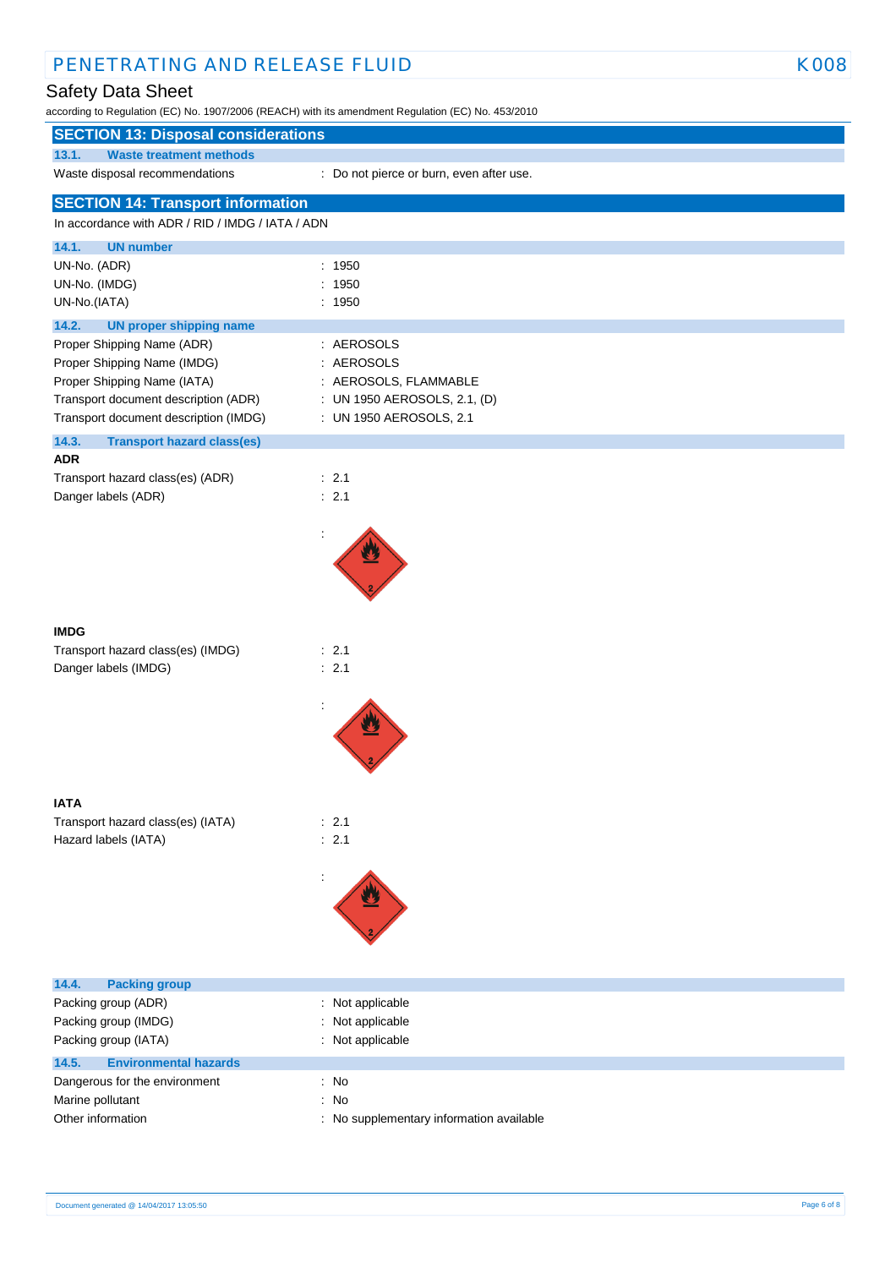# Safety Data Sheet

I

according to Regulation (EC) No. 1907/2006 (REACH) with its amendment Regulation (EC) No. 453/2010

# **SECTION 13: Disposal considerations**

**13.1. Waste treatment methods**

Waste disposal recommendations : Do not pierce or burn, even after use.

| <b>SECTION 14: Transport information</b>         |                                          |  |
|--------------------------------------------------|------------------------------------------|--|
| In accordance with ADR / RID / IMDG / IATA / ADN |                                          |  |
| 14.1.<br><b>UN number</b>                        |                                          |  |
| UN-No. (ADR)                                     | : 1950                                   |  |
| UN-No. (IMDG)                                    | : 1950                                   |  |
| UN-No.(IATA)                                     | : 1950                                   |  |
| 14.2.<br><b>UN proper shipping name</b>          |                                          |  |
| Proper Shipping Name (ADR)                       | : AEROSOLS                               |  |
| Proper Shipping Name (IMDG)                      | : AEROSOLS                               |  |
| Proper Shipping Name (IATA)                      | : AEROSOLS, FLAMMABLE                    |  |
| Transport document description (ADR)             | : UN 1950 AEROSOLS, 2.1, (D)             |  |
| Transport document description (IMDG)            | : UN 1950 AEROSOLS, 2.1                  |  |
| 14.3.<br><b>Transport hazard class(es)</b>       |                                          |  |
| ADR                                              |                                          |  |
| Transport hazard class(es) (ADR)                 | $\therefore$ 2.1                         |  |
| Danger labels (ADR)                              | : 2.1                                    |  |
|                                                  |                                          |  |
|                                                  |                                          |  |
|                                                  |                                          |  |
|                                                  |                                          |  |
|                                                  |                                          |  |
|                                                  |                                          |  |
| IMDG                                             |                                          |  |
| Transport hazard class(es) (IMDG)                | : 2.1                                    |  |
| Danger labels (IMDG)                             | : 2.1                                    |  |
|                                                  |                                          |  |
|                                                  |                                          |  |
|                                                  |                                          |  |
|                                                  |                                          |  |
|                                                  |                                          |  |
| IATA                                             |                                          |  |
| Transport hazard class(es) (IATA)                | $\therefore$ 2.1                         |  |
| Hazard labels (IATA)                             | : 2.1                                    |  |
|                                                  |                                          |  |
|                                                  |                                          |  |
|                                                  |                                          |  |
|                                                  |                                          |  |
|                                                  |                                          |  |
|                                                  |                                          |  |
|                                                  |                                          |  |
| <b>Packing group</b><br>14.4.                    |                                          |  |
| Packing group (ADR)                              | Not applicable                           |  |
| Packing group (IMDG)                             | Not applicable                           |  |
| Packing group (IATA)                             | : Not applicable                         |  |
| <b>Environmental hazards</b><br>14.5.            |                                          |  |
| Dangerous for the environment                    | : No                                     |  |
| Marine pollutant                                 | : No                                     |  |
| Other information                                | : No supplementary information available |  |

Ī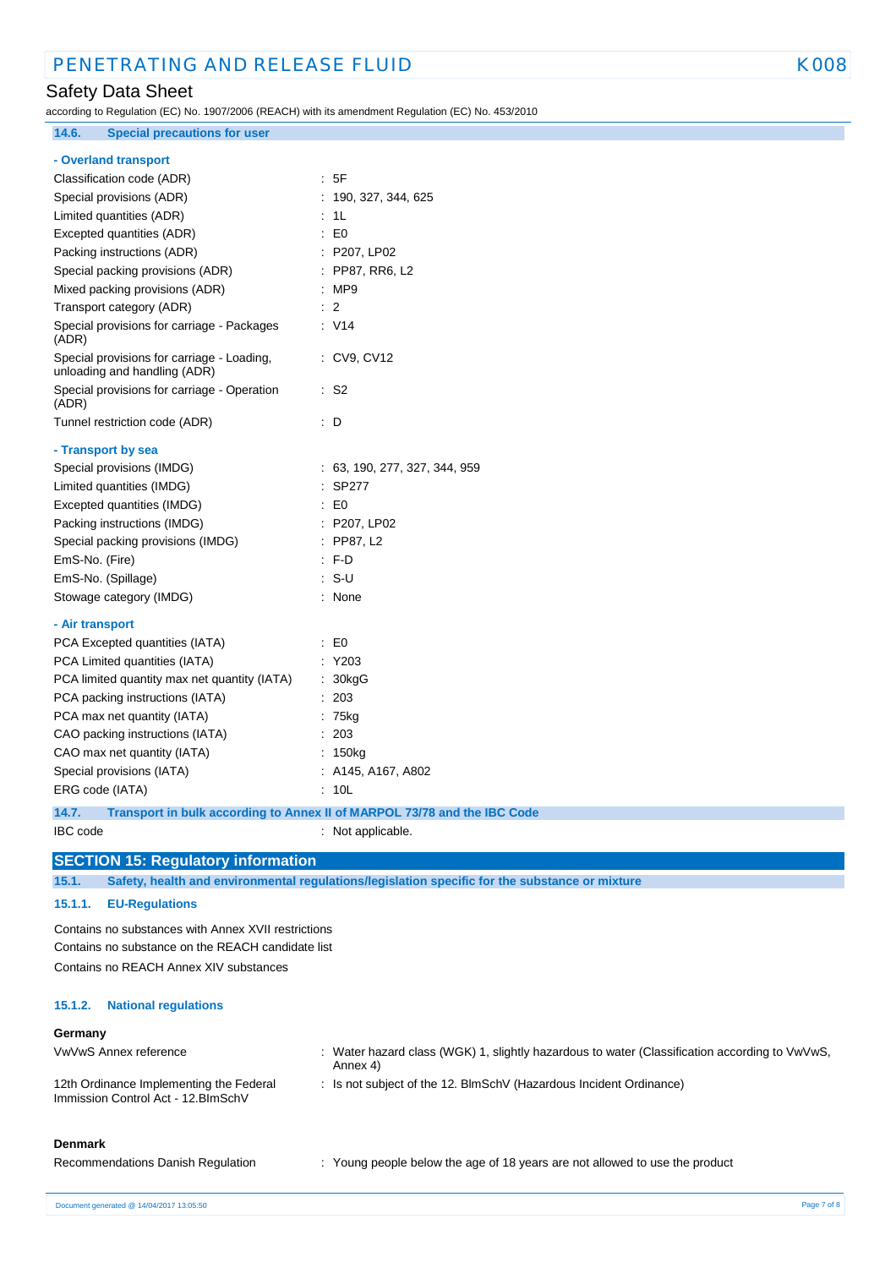# Safety Data Sheet

**14.6. Special precautions for user**

according to Regulation (EC) No. 1907/2006 (REACH) with its amendment Regulation (EC) No. 453/2010

# **- Overland transport**

| Classification code (ADR)                                                  | : 5F                                                                     |
|----------------------------------------------------------------------------|--------------------------------------------------------------------------|
| Special provisions (ADR)                                                   | 190, 327, 344, 625                                                       |
| Limited quantities (ADR)                                                   | 1 <sub>L</sub>                                                           |
| Excepted quantities (ADR)                                                  | E <sub>0</sub>                                                           |
| Packing instructions (ADR)                                                 | : P207, LP02                                                             |
| Special packing provisions (ADR)                                           | : PP87, RR6, L2                                                          |
| Mixed packing provisions (ADR)                                             | :MP9                                                                     |
| Transport category (ADR)                                                   | 2                                                                        |
| Special provisions for carriage - Packages<br>(ADR)                        | : V14                                                                    |
| Special provisions for carriage - Loading,<br>unloading and handling (ADR) | : CV9, CV12                                                              |
| Special provisions for carriage - Operation<br>(ADR)                       | : S2                                                                     |
| Tunnel restriction code (ADR)                                              | : D                                                                      |
| - Transport by sea                                                         |                                                                          |
| Special provisions (IMDG)                                                  | 63, 190, 277, 327, 344, 959                                              |
| Limited quantities (IMDG)                                                  | <b>SP277</b>                                                             |
| Excepted quantities (IMDG)                                                 | $\pm 50$                                                                 |
| Packing instructions (IMDG)                                                | : P207, LP02                                                             |
| Special packing provisions (IMDG)                                          | $:$ PP87, L2                                                             |
| EmS-No. (Fire)                                                             | F.D                                                                      |
| EmS-No. (Spillage)                                                         | : S-U                                                                    |
| Stowage category (IMDG)                                                    | None                                                                     |
| - Air transport                                                            |                                                                          |
| PCA Excepted quantities (IATA)                                             | E0                                                                       |
| PCA Limited quantities (IATA)                                              | Y203                                                                     |
| PCA limited quantity max net quantity (IATA)                               | 30kgG                                                                    |
| PCA packing instructions (IATA)                                            | 203                                                                      |
| PCA max net quantity (IATA)                                                | 75kg                                                                     |
| CAO packing instructions (IATA)                                            | 203                                                                      |
| CAO max net quantity (IATA)                                                | 150kg                                                                    |
| Special provisions (IATA)                                                  | A145, A167, A802                                                         |
| ERG code (IATA)                                                            | 10L                                                                      |
| 14.7.                                                                      | Transport in bulk according to Annex II of MARPOL 73/78 and the IBC Code |
| <b>IBC</b> code                                                            | Not applicable.                                                          |

### **SECTION 15: Regulatory information**

**15.1. Safety, health and environmental regulations/legislation specific for the substance or mixture**

### **15.1.1. EU-Regulations**

Contains no substances with Annex XVII restrictions Contains no substance on the REACH candidate list Contains no REACH Annex XIV substances

#### **15.1.2. National regulations**

#### **Germany**

| VwVwS Annex reference                                                         | Water hazard class (WGK) 1, slightly hazardous to water (Classification according to $VwVwS$ ,<br>Annex 4) |
|-------------------------------------------------------------------------------|------------------------------------------------------------------------------------------------------------|
| 12th Ordinance Implementing the Federal<br>Immission Control Act - 12.BImSchV | : Is not subject of the 12. BlmSchV (Hazardous Incident Ordinance)                                         |

### **Denmark**

| Recommendations Danish Regulation | Young people below the age of 18 years are not allowed to use the product |
|-----------------------------------|---------------------------------------------------------------------------|
|-----------------------------------|---------------------------------------------------------------------------|